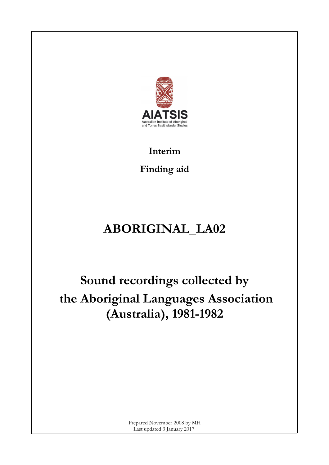

**Interim**

**Finding aid**

## **ABORIGINAL\_LA02**

# **Sound recordings collected by the Aboriginal Languages Association (Australia), 1981-1982**

Prepared November 2008 by MH Last updated 3 January 2017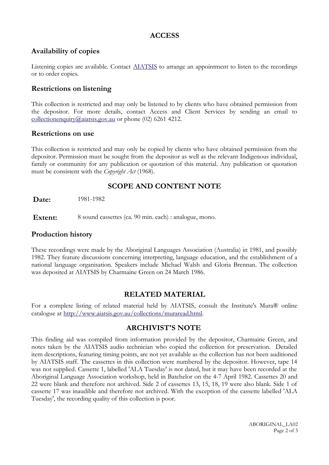#### **ACCESS**

## **Availability of copies**

Listening copies are available. Contact [AIATSIS](http://www.aiatsis.gov.au/index.html) to arrange an appointment to listen to the recordings or to order copies.

## **Restrictions on listening**

This collection is restricted and may only be listened to by clients who have obtained permission from the depositor. For more details, contact Access and Client Services by sending an email to [collectionenquiry@aiatsis.gov.au](mailto:collectionenquiry@aiatsis.gov.au) or phone (02) 6261 4212.

#### **Restrictions on use**

This collection is restricted and may only be copied by clients who have obtained permission from the depositor. Permission must be sought from the depositor as well as the relevant Indigenous individual, family or community for any publication or quotation of this material. Any publication or quotation must be consistent with the *Copyright Act* (1968).

## **SCOPE AND CONTENT NOTE**

**Date:** 1981-1982

**Extent:** 8 sound cassettes (ca. 90 min. each) : analogue, mono.

### **Production history**

These recordings were made by the Aboriginal Languages Association (Australia) in 1981, and possibly 1982. They feature discussions concerning interpreting, language education, and the establishment of a national language organisation. Speakers include Michael Walsh and Gloria Brennan. The collection was deposited at AIATSIS by Charmaine Green on 24 March 1986.

## **RELATED MATERIAL**

For a complete listing of related material held by AIATSIS, consult the Institute's Mura® online catalogue at [http://www.aiatsis.gov.au/collections/muraread.html.](http://www.aiatsis.gov.au/collections/muraread.html)

## **ARCHIVIST'S NOTE**

This finding aid was compiled from information provided by the depositor, Charmaine Green, and notes taken by the AIATSIS audio technician who copied the collection for preservation. Detailed item descriptions, featuring timing points, are not yet available as the collection has not been auditioned by AIATSIS staff. The cassettes in this collection were numbered by the depositor. However, tape 14 was not supplied. Cassette 1, labelled 'ALA Tuesday' is not dated, but it may have been recorded at the Aboriginal Language Association workshop, held in Batchelor on the 4-7 April 1982. Cassettes 20 and 22 were blank and therefore not archived. Side 2 of cassettes 13, 15, 18, 19 were also blank. Side 1 of cassette 17 was inaudible and therefore not archived. With the exception of the cassette labelled 'ALA Tuesday', the recording quality of this collection is poor.

> ABORIGINAL\_LA02 Page 2 of 3